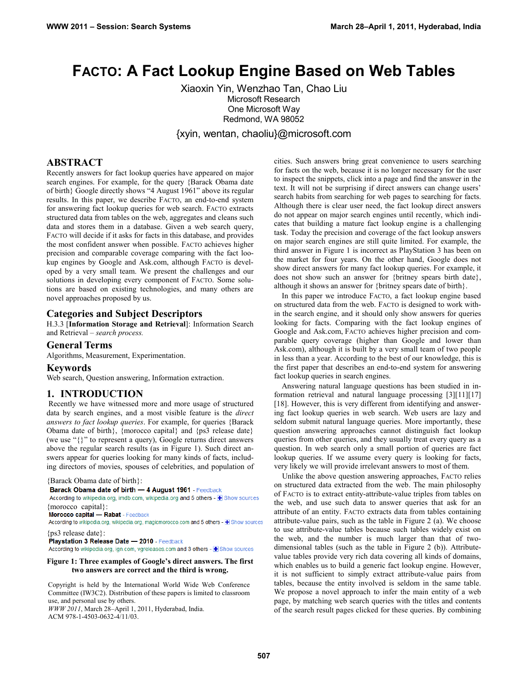# **FACTO: A Fact Lookup Engine Based on Web Tables**

Xiaoxin Yin, Wenzhao Tan, Chao Liu Microsoft Research One Microsoft Way Redmond, WA 98052

{xyin, wentan, chaoliu}@microsoft.com

# **ABSTRACT**

Recently answers for fact lookup queries have appeared on major search engines. For example, for the query {Barack Obama date of birth} Google directly shows "4 August 1961" above its regular results. In this paper, we describe FACTO, an end-to-end system for answering fact lookup queries for web search. FACTO extracts structured data from tables on the web, aggregates and cleans such data and stores them in a database. Given a web search query, FACTO will decide if it asks for facts in this database, and provides the most confident answer when possible. FACTO achieves higher precision and comparable coverage comparing with the fact lookup engines by Google and Ask.com, although FACTO is developed by a very small team. We present the challenges and our solutions in developing every component of FACTO. Some solutions are based on existing technologies, and many others are novel approaches proposed by us.

### **Categories and Subject Descriptors**

H.3.3 [**Information Storage and Retrieval**]: Information Search and Retrieval – *search process.* 

### **General Terms**

Algorithms, Measurement, Experimentation.

### **Keywords**

Web search, Question answering, Information extraction.

### **1. INTRODUCTION**

 Recently we have witnessed more and more usage of structured data by search engines, and a most visible feature is the *direct answers to fact lookup queries*. For example, for queries {Barack Obama date of birth}, {morocco capital} and {ps3 release date} (we use "{}" to represent a query), Google returns direct answers above the regular search results (as in Figure 1). Such direct answers appear for queries looking for many kinds of facts, including directors of movies, spouses of celebrities, and population of

{Barack Obama date of birth}:<br>Barack Obama date of birth — 4 August 1961 - Feedback

According to wikipedia.org, imdb.com, wikipedia.org and 5 others - + Show sources

{morocco capital}:<br>Morocco capital — Rabat - Feedback

According to wikipedia.org, wikipedia.org, magicmorocco.com and 5 others - B Show sources

{ps3 release date}:<br>Playstation 3 Release Date - 2010 - Feedback

According to wikipedia.org, ign.com, vgreleases.com and 3 others - B Show sources

### **Figure 1: Three examples of Google's direct answers. The first two answers are correct and the third is wrong.**

Copyright is held by the International World Wide Web Conference Committee (IW3C2). Distribution of these papers is limited to classroom use, and personal use by others.

*WWW 2011*, March 28–April 1, 2011, Hyderabad, India. ACM 978-1-4503-0632-4/11/03.

cities. Such answers bring great convenience to users searching for facts on the web, because it is no longer necessary for the user to inspect the snippets, click into a page and find the answer in the text. It will not be surprising if direct answers can change users' search habits from searching for web pages to searching for facts. Although there is clear user need, the fact lookup direct answers do not appear on major search engines until recently, which indicates that building a mature fact lookup engine is a challenging task. Today the precision and coverage of the fact lookup answers on major search engines are still quite limited. For example, the third answer in Figure 1 is incorrect as PlayStation 3 has been on the market for four years. On the other hand, Google does not show direct answers for many fact lookup queries. For example, it does not show such an answer for {britney spears birth date}, although it shows an answer for {britney spears date of birth}.

In this paper we introduce FACTO, a fact lookup engine based on structured data from the web. FACTO is designed to work within the search engine, and it should only show answers for queries looking for facts. Comparing with the fact lookup engines of Google and Ask.com, FACTO achieves higher precision and comparable query coverage (higher than Google and lower than Ask.com), although it is built by a very small team of two people in less than a year. According to the best of our knowledge, this is the first paper that describes an end-to-end system for answering fact lookup queries in search engines.

Answering natural language questions has been studied in information retrieval and natural language processing [3][11][17] [18]. However, this is very different from identifying and answering fact lookup queries in web search. Web users are lazy and seldom submit natural language queries. More importantly, these question answering approaches cannot distinguish fact lookup queries from other queries, and they usually treat every query as a question. In web search only a small portion of queries are fact lookup queries. If we assume every query is looking for facts, very likely we will provide irrelevant answers to most of them.

Unlike the above question answering approaches, FACTO relies on structured data extracted from the web. The main philosophy of FACTO is to extract entity-attribute-value triples from tables on the web, and use such data to answer queries that ask for an attribute of an entity. FACTO extracts data from tables containing attribute-value pairs, such as the table in Figure 2 (a). We choose to use attribute-value tables because such tables widely exist on the web, and the number is much larger than that of twodimensional tables (such as the table in Figure 2 (b)). Attributevalue tables provide very rich data covering all kinds of domains, which enables us to build a generic fact lookup engine. However, it is not sufficient to simply extract attribute-value pairs from tables, because the entity involved is seldom in the same table. We propose a novel approach to infer the main entity of a web page, by matching web search queries with the titles and contents of the search result pages clicked for these queries. By combining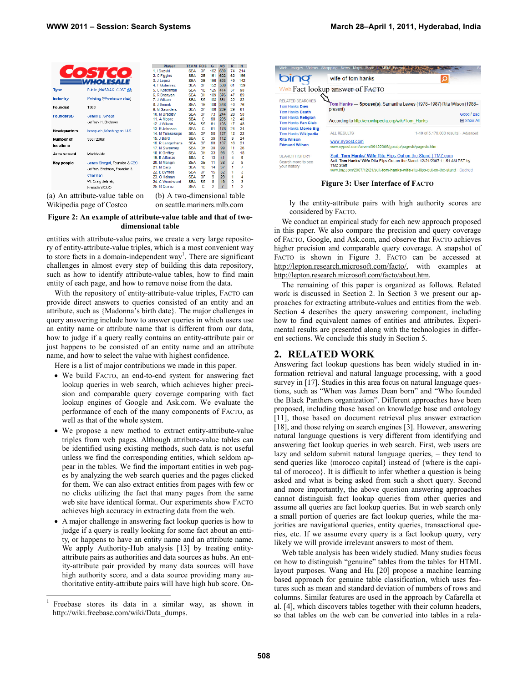

Wikipedia page of Costco

on seattle.mariners.mlb.com

### **Figure 2: An example of attribute-value table and that of twodimensional table**

entities with attribute-value pairs, we create a very large repository of entity-attribute-value triples, which is a most convenient way to store facts in a domain-independent  $way<sup>1</sup>$ . There are significant challenges in almost every step of building this data repository, such as how to identify attribute-value tables, how to find main entity of each page, and how to remove noise from the data.

With the repository of entity-attribute-value triples, FACTO can provide direct answers to queries consisted of an entity and an attribute, such as {Madonna's birth date}. The major challenges in query answering include how to answer queries in which users use an entity name or attribute name that is different from our data, how to judge if a query really contains an entity-attribute pair or just happens to be consisted of an entity name and an attribute name, and how to select the value with highest confidence.

Here is a list of major contributions we made in this paper.

- We build FACTO, an end-to-end system for answering fact lookup queries in web search, which achieves higher precision and comparable query coverage comparing with fact lookup engines of Google and Ask.com. We evaluate the performance of each of the many components of FACTO, as well as that of the whole system.
- We propose a new method to extract entity-attribute-value triples from web pages. Although attribute-value tables can be identified using existing methods, such data is not useful unless we find the corresponding entities, which seldom appear in the tables. We find the important entities in web pages by analyzing the web search queries and the pages clicked for them. We can also extract entities from pages with few or no clicks utilizing the fact that many pages from the same web site have identical format. Our experiments show FACTO achieves high accuracy in extracting data from the web.
- A major challenge in answering fact lookup queries is how to judge if a query is really looking for some fact about an entity, or happens to have an entity name and an attribute name. We apply Authority-Hub analysis [13] by treating entityattribute pairs as authorities and data sources as hubs. An entity-attribute pair provided by many data sources will have high authority score, and a data source providing many authoritative entity-attribute pairs will have high hub score. On-

-



**Figure 3: User Interface of FACTO**

ly the entity-attribute pairs with high authority scores are considered by FACTO.

We conduct an empirical study for each new approach proposed in this paper. We also compare the precision and query coverage of FACTO, Google, and Ask.com, and observe that FACTO achieves higher precision and comparable query coverage. A snapshot of FACTO is shown in Figure 3. FACTO can be accessed at http://lepton.research.microsoft.com/facto/, with examples at http://lepton.research.microsoft.com/facto/about.htm.

The remaining of this paper is organized as follows. Related work is discussed in Section 2. In Section 3 we present our approaches for extracting attribute-values and entities from the web. Section 4 describes the query answering component, including how to find equivalent names of entities and attributes. Experimental results are presented along with the technologies in different sections. We conclude this study in Section 5.

# **2. RELATED WORK**

Answering fact lookup questions has been widely studied in information retrieval and natural language processing, with a good survey in [17]. Studies in this area focus on natural language questions, such as "When was James Dean born" and "Who founded the Black Panthers organization". Different approaches have been proposed, including those based on knowledge base and ontology [11], those based on document retrieval plus answer extraction [18], and those relying on search engines [3]. However, answering natural language questions is very different from identifying and answering fact lookup queries in web search. First, web users are lazy and seldom submit natural language queries, – they tend to send queries like {morocco capital} instead of {where is the capital of morocco}. It is difficult to infer whether a question is being asked and what is being asked from such a short query. Second and more importantly, the above question answering approaches cannot distinguish fact lookup queries from other queries and assume all queries are fact lookup queries. But in web search only a small portion of queries are fact lookup queries, while the majorities are navigational queries, entity queries, transactional queries, etc. If we assume every query is a fact lookup query, very likely we will provide irrelevant answers to most of them.

Web table analysis has been widely studied. Many studies focus on how to distinguish "genuine" tables from the tables for HTML layout purposes. Wang and Hu [20] propose a machine learning based approach for genuine table classification, which uses features such as mean and standard deviation of numbers of rows and columns. Similar features are used in the approach by Cafarella et al. [4], which discovers tables together with their column headers, so that tables on the web can be converted into tables in a rela-

<sup>1</sup> Freebase stores its data in a similar way, as shown in http://wiki.freebase.com/wiki/Data\_dumps.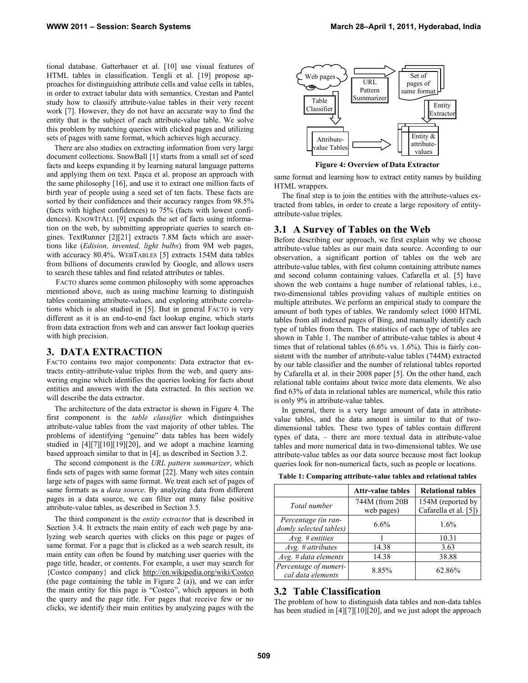tional database. Gatterbauer et al. [10] use visual features of HTML tables in classification. Tengli et al. [19] propose approaches for distinguishing attribute cells and value cells in tables, in order to extract tabular data with semantics. Crestan and Pantel study how to classify attribute-value tables in their very recent work [7]. However, they do not have an accurate way to find the entity that is the subject of each attribute-value table. We solve this problem by matching queries with clicked pages and utilizing sets of pages with same format, which achieves high accuracy.

There are also studies on extracting information from very large document collections. SnowBall [1] starts from a small set of seed facts and keeps expanding it by learning natural language patterns and applying them on text. Paşca et al. propose an approach with the same philosophy [16], and use it to extract one million facts of birth year of people using a seed set of ten facts. These facts are sorted by their confidences and their accuracy ranges from 98.5% (facts with highest confidences) to 75% (facts with lowest confidences). KNOWITALL [9] expands the set of facts using information on the web, by submitting appropriate queries to search engines. TextRunner [2][21] extracts 7.8M facts which are assertions like (*Edision, invented, light bulbs*) from 9M web pages, with accuracy 80.4%. WEBTABLES [5] extracts 154M data tables from billions of documents crawled by Google, and allows users to search these tables and find related attributes or tables.

FACTO shares some common philosophy with some approaches mentioned above, such as using machine learning to distinguish tables containing attribute-values, and exploring attribute correlations which is also studied in [5]. But in general FACTO is very different as it is an end-to-end fact lookup engine, which starts from data extraction from web and can answer fact lookup queries with high precision.

# **3. DATA EXTRACTION**

FACTO contains two major components: Data extractor that extracts entity-attribute-value triples from the web, and query answering engine which identifies the queries looking for facts about entities and answers with the data extracted. In this section we will describe the data extractor.

The architecture of the data extractor is shown in Figure 4. The first component is the *table classifier* which distinguishes attribute-value tables from the vast majority of other tables. The problems of identifying "genuine" data tables has been widely studied in [4][7][10][19][20], and we adopt a machine learning based approach similar to that in [4], as described in Section 3.2.

The second component is the *URL pattern summarizer*, which finds sets of pages with same format [22]. Many web sites contain large sets of pages with same format. We treat each set of pages of same formats as a *data source*. By analyzing data from different pages in a data source, we can filter out many false positive attribute-value tables, as described in Section 3.5.

The third component is the *entity extractor* that is described in Section 3.4. It extracts the main entity of each web page by analyzing web search queries with clicks on this page or pages of same format. For a page that is clicked as a web search result, its main entity can often be found by matching user queries with the page title, header, or contents. For example, a user may search for {Costco company} and click http://en.wikipedia.org/wiki/Costco (the page containing the table in Figure 2 (a)), and we can infer the main entity for this page is "Costco", which appears in both the query and the page title. For pages that receive few or no clicks, we identify their main entities by analyzing pages with the



**Figure 4: Overview of Data Extractor** 

same format and learning how to extract entity names by building HTML wrappers.

The final step is to join the entities with the attribute-values extracted from tables, in order to create a large repository of entityattribute-value triples.

# **3.1 A Survey of Tables on the Web**

Before describing our approach, we first explain why we choose attribute-value tables as our main data source. According to our observation, a significant portion of tables on the web are attribute-value tables, with first column containing attribute names and second column containing values. Cafarella et al. [5] have shown the web contains a huge number of relational tables, i.e., two-dimensional tables providing values of multiple entities on multiple attributes. We perform an empirical study to compare the amount of both types of tables. We randomly select 1000 HTML tables from all indexed pages of Bing, and manually identify each type of tables from them. The statistics of each type of tables are shown in Table 1. The number of attribute-value tables is about 4 times that of relational tables (6.6% vs. 1.6%). This is fairly consistent with the number of attribute-value tables (744M) extracted by our table classifier and the number of relational tables reported by Cafarella et al. in their 2008 paper [5]. On the other hand, each relational table contains about twice more data elements. We also find 63% of data in relational tables are numerical, while this ratio is only 9% in attribute-value tables.

In general, there is a very large amount of data in attributevalue tables, and the data amount is similar to that of twodimensional tables. These two types of tables contain different types of data, – there are more textual data in attribute-value tables and more numerical data in two-dimensional tables. We use attribute-value tables as our data source because most fact lookup queries look for non-numerical facts, such as people or locations.

**Table 1: Comparing attribute-value tables and relational tables** 

|                                            | <b>Attr-value tables</b> | <b>Relational tables</b> |  |
|--------------------------------------------|--------------------------|--------------------------|--|
| Total number                               | 744M (from 20B           | 154M (reported by        |  |
|                                            | web pages)               | Cafarella et al. [5])    |  |
| Percentage (in ran-                        | 6.6%                     | 1.6%                     |  |
| domly selected tables)                     |                          |                          |  |
| $Avg.$ # entities                          |                          | 10.31                    |  |
| $Avg.$ # attributes                        | 14.38                    | 3.63                     |  |
| $Avg.$ # data elements                     | 14.38                    | 38.88                    |  |
| Percentage of numeri-<br>cal data elements | 8.85%                    | 62.86%                   |  |

# **3.2 Table Classification**

The problem of how to distinguish data tables and non-data tables has been studied in [4][7][10][20], and we just adopt the approach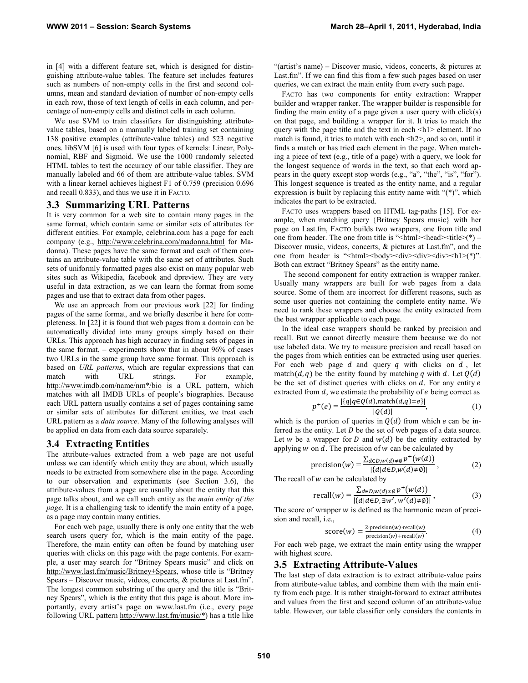in [4] with a different feature set, which is designed for distinguishing attribute-value tables. The feature set includes features such as numbers of non-empty cells in the first and second columns, mean and standard deviation of number of non-empty cells in each row, those of text length of cells in each column, and percentage of non-empty cells and distinct cells in each column.

We use SVM to train classifiers for distinguishing attributevalue tables, based on a manually labeled training set containing 138 positive examples (attribute-value tables) and 523 negative ones. libSVM [6] is used with four types of kernels: Linear, Polynomial, RBF and Sigmoid. We use the 1000 randomly selected HTML tables to test the accuracy of our table classifier. They are manually labeled and 66 of them are attribute-value tables. SVM with a linear kernel achieves highest F1 of 0.759 (precision 0.696 and recall 0.833), and thus we use it in FACTO.

### **3.3 Summarizing URL Patterns**

It is very common for a web site to contain many pages in the same format, which contain same or similar sets of attributes for different entities. For example, celebrina.com has a page for each company (e.g., http://www.celebrina.com/madonna.html for Madonna). These pages have the same format and each of them contains an attribute-value table with the same set of attributes. Such sets of uniformly formatted pages also exist on many popular web sites such as Wikipedia, facebook and dpreview. They are very useful in data extraction, as we can learn the format from some pages and use that to extract data from other pages.

We use an approach from our previous work [22] for finding pages of the same format, and we briefly describe it here for completeness. In [22] it is found that web pages from a domain can be automatically divided into many groups simply based on their URLs. This approach has high accuracy in finding sets of pages in the same format, – experiments show that in about 96% of cases two URLs in the same group have same format. This approach is based on *URL patterns*, which are regular expressions that can match with URL strings. For example, http://www.imdb.com/name/nm\*/bio is a URL pattern, which matches with all IMDB URLs of people's biographies. Because each URL pattern usually contains a set of pages containing same or similar sets of attributes for different entities, we treat each URL pattern as a *data source*. Many of the following analyses will be applied on data from each data source separately.

# **3.4 Extracting Entities**

The attribute-values extracted from a web page are not useful unless we can identify which entity they are about, which usually needs to be extracted from somewhere else in the page. According to our observation and experiments (see Section 3.6), the attribute-values from a page are usually about the entity that this page talks about, and we call such entity as the *main entity of the page*. It is a challenging task to identify the main entity of a page, as a page may contain many entities.

For each web page, usually there is only one entity that the web search users query for, which is the main entity of the page. Therefore, the main entity can often be found by matching user queries with clicks on this page with the page contents. For example, a user may search for "Britney Spears music" and click on http://www.last.fm/music/Britney+Spears, whose title is "Britney Spears – Discover music, videos, concerts, & pictures at Last.fm". The longest common substring of the query and the title is "Britney Spears", which is the entity that this page is about. More importantly, every artist's page on www.last.fm (i.e., every page following URL pattern http://www.last.fm/music/\*) has a title like

"(artist's name) – Discover music, videos, concerts, & pictures at Last.fm". If we can find this from a few such pages based on user queries, we can extract the main entity from every such page.

FACTO has two components for entity extraction: Wrapper builder and wrapper ranker. The wrapper builder is responsible for finding the main entity of a page given a user query with click(s) on that page, and building a wrapper for it. It tries to match the query with the page title and the text in each  $\langle h_1 \rangle$  element. If no match is found, it tries to match with each <h2>, and so on, until it finds a match or has tried each element in the page. When matching a piece of text (e.g., title of a page) with a query, we look for the longest sequence of words in the text, so that each word appears in the query except stop words (e.g., "a", "the", "is", "for"). This longest sequence is treated as the entity name, and a regular expression is built by replacing this entity name with "(\*)", which indicates the part to be extracted.

FACTO uses wrappers based on HTML tag-paths [15]. For example, when matching query {Britney Spears music} with her page on Last.fm, FACTO builds two wrappers, one from title and one from header. The one from title is "<html><html>thed>  $\text{with}\{-\text{the odd} \geq \text{the odd} \}$ Discover music, videos, concerts, & pictures at Last.fm", and the one from header is "<html><br/>body><div><div><div><h1>(\*)". Both can extract "Britney Spears" as the entity name.

 The second component for entity extraction is wrapper ranker. Usually many wrappers are built for web pages from a data source. Some of them are incorrect for different reasons, such as some user queries not containing the complete entity name. We need to rank these wrappers and choose the entity extracted from the best wrapper applicable to each page.

In the ideal case wrappers should be ranked by precision and recall. But we cannot directly measure them because we do not use labeled data. We try to measure precision and recall based on the pages from which entities can be extracted using user queries. For each web page  $d$  and query  $q$  with clicks on  $d$ , let match(d, q) be the entity found by matching q with d. Let  $Q(d)$ be the set of distinct queries with clicks on  $d$ . For any entity  $e$ extracted from  $d$ , we estimate the probability of  $e$  being correct as

$$
p^{+}(e) = \frac{|\{q|q \in Q(d), \text{match}(d,q) = e\}|}{|Q(d)|}, \tag{1}
$$

which is the portion of queries in  $Q(d)$  from which e can be inferred as the entity. Let  $D$  be the set of web pages of a data source. Let w be a wrapper for D and  $w(d)$  be the entity extracted by applying  $w$  on  $d$ . The precision of  $w$  can be calculated by

$$
\text{precision}(w) = \frac{\sum_{d \in D, w(d) \neq \emptyset} p^+(w(d))}{|\{d | d \in D, w(d) \neq \emptyset\}|},\tag{2}
$$

The recall of  $w$  can be calculated by

$$
\text{recall}(w) = \frac{\sum_{d \in D, w(d) \neq \emptyset} p^+(w(d))}{|\{d|d \in D, \exists w', w'(d) \neq \emptyset\}|},\tag{3}
$$

The score of wrapper  $w$  is defined as the harmonic mean of precision and recall, i.e.,

$$
score(w) = \frac{2 \cdot precision(w) \cdot recall(w)}{\text{precision}(w) + \text{recall}(w)}.
$$
 (4)

For each web page, we extract the main entity using the wrapper with highest score.

# **3.5 Extracting Attribute-Values**

The last step of data extraction is to extract attribute-value pairs from attribute-value tables, and combine them with the main entity from each page. It is rather straight-forward to extract attributes and values from the first and second column of an attribute-value table. However, our table classifier only considers the contents in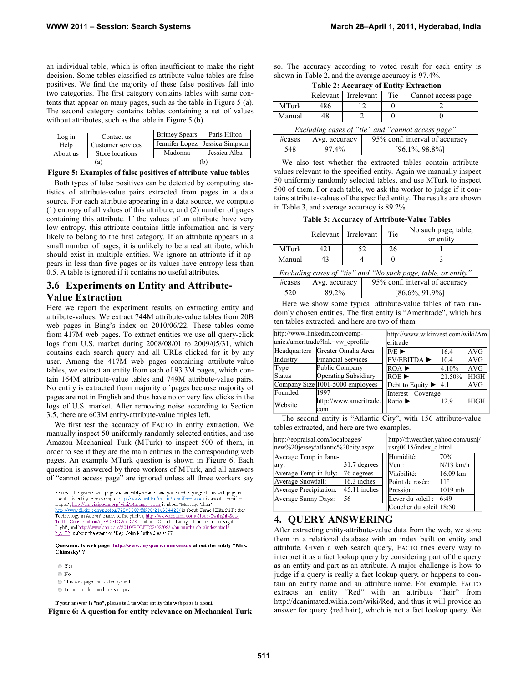an individual table, which is often insufficient to make the right decision. Some tables classified as attribute-value tables are false positives. We find the majority of these false positives fall into two categories. The first category contains tables with same contents that appear on many pages, such as the table in Figure 5 (a). The second category contains tables containing a set of values without attributes, such as the table in Figure 5 (b).

| Log in   | Contact us        | <b>Britney Spears</b> | Paris Hilton                     |
|----------|-------------------|-----------------------|----------------------------------|
| Help     | Customer services |                       | Jennifer Lopez   Jessica Simpson |
| About us | Store locations   | Madonna               | Jessica Alba                     |
| (a`      |                   |                       | (b                               |

#### **Figure 5: Examples of false positives of attribute-value tables**

Both types of false positives can be detected by computing statistics of attribute-value pairs extracted from pages in a data source. For each attribute appearing in a data source, we compute (1) entropy of all values of this attribute, and (2) number of pages containing this attribute. If the values of an attribute have very low entropy, this attribute contains little information and is very likely to belong to the first category. If an attribute appears in a small number of pages, it is unlikely to be a real attribute, which should exist in multiple entities. We ignore an attribute if it appears in less than five pages or its values have entropy less than 0.5. A table is ignored if it contains no useful attributes.

# **3.6 Experiments on Entity and Attribute-Value Extraction**

Here we report the experiment results on extracting entity and attribute-values. We extract 744M attribute-value tables from 20B web pages in Bing's index on 2010/06/22. These tables come from 417M web pages. To extract entities we use all query-click logs from U.S. market during 2008/08/01 to 2009/05/31, which contains each search query and all URLs clicked for it by any user. Among the 417M web pages containing attribute-value tables, we extract an entity from each of 93.3M pages, which contain 164M attribute-value tables and 749M attribute-value pairs. No entity is extracted from majority of pages because majority of pages are not in English and thus have no or very few clicks in the logs of U.S. market. After removing noise according to Section 3.5, there are 603M entity-attribute-value triples left.

We first test the accuracy of FACTO in entity extraction. We manually inspect 50 uniformly randomly selected entities, and use Amazon Mechanical Turk (MTurk) to inspect 500 of them, in order to see if they are the main entities in the corresponding web pages. An example MTurk question is shown in Figure 6. Each question is answered by three workers of MTurk, and all answers of "cannot access page" are ignored unless all three workers say

You will be given a web page and an entity's name, and you need to judge if this web page is For example, http://www.last.fm/music/Jennifert-Lopez is about the minister and we have the space of the starting and about this entity. For example, http://www.last.fm/music/Jennifert-Lopez is about "Femifer Lopez", http: 80@N00/216984427/ is about "Famed Hitachi Poster: Technology in Action" (name of the photo), http://www.amazon.com/Cloud-Twilight-Sea-Turtle-Constellation/dp/B001CW7CVK is about "Cloud b Twilight Constellation Night Light", and http://www.cnn.com/2010/POLITICS/02/08/john.murtha.obit/index.html? hpt=T2 is about the event of "Rep. John Murtha dies at 77

#### Question: Is web page http://www.myspace.com/versus about the entity "Mrs. Chinasky"?

**O**Yes  $\odot$  No

- This web page cannot be opened
- ◯ I cannot understand this web page

If your answer is "no", please tell us what entity this web page is about.

**Figure 6: A question for entity relevance on Mechanical Turk** answer for query {red hair}, which is not a fact lookup query. We

so. The accuracy according to voted result for each entity is shown in Table 2, and the average accuracy is 97.4%.

**Table 2: Accuracy of Entity Extraction** 

|                                                   | Relevant      | Irrelevant |  | Tie                            | Cannot access page |
|---------------------------------------------------|---------------|------------|--|--------------------------------|--------------------|
| MTurk                                             | 486           | 12         |  |                                |                    |
| Manual                                            | 48            |            |  |                                |                    |
| Excluding cases of "tie" and "cannot access page" |               |            |  |                                |                    |
| $\#cases$                                         | Avg. accuracy |            |  | 95% conf. interval of accuracy |                    |
| 548                                               | $97.4\%$      |            |  |                                | $[96.1\%, 98.8\%]$ |

We also test whether the extracted tables contain attributevalues relevant to the specified entity. Again we manually inspect 50 uniformly randomly selected tables, and use MTurk to inspect 500 of them. For each table, we ask the worker to judge if it contains attribute-values of the specified entity. The results are shown in Table 3, and average accuracy is 89.2%.

**Table 3: Accuracy of Attribute-Value Tables** 

|                                                               |               | Relevant   Irrelevant |  | Tie | No such page, table,<br>or entity |
|---------------------------------------------------------------|---------------|-----------------------|--|-----|-----------------------------------|
| MTurk                                                         | 421           | 52                    |  | 26  |                                   |
| Manual                                                        | 43            |                       |  |     |                                   |
| Excluding cases of "tie" and "No such page, table, or entity" |               |                       |  |     |                                   |
| #cases                                                        | Avg. accuracy |                       |  |     | 95% conf. interval of accuracy    |
| 520                                                           | 89.2%         |                       |  |     | $[86.6\%, 91.9\%]$                |

Here we show some typical attribute-value tables of two randomly chosen entities. The first entity is "Ameritrade", which has ten tables extracted, and here are two of them:

| http://www.linkedin.com/comp-<br>anies/ameritrade?lnk=vw_cprofile |                                  | http://www.wikinvest.com/wiki/Am<br>eritrade |        |             |
|-------------------------------------------------------------------|----------------------------------|----------------------------------------------|--------|-------------|
| Headquarters                                                      | Greater Omaha Area               | P/E                                          | 16.4   | <b>AVG</b>  |
| Industry                                                          | <b>Financial Services</b>        | EV/EBITDA ▶                                  | 10.4   | <b>AVG</b>  |
| Type                                                              | Public Company                   | $ROA \blacktriangleright$                    | 4.10%  | <b>AVG</b>  |
| <b>Status</b>                                                     | <b>Operating Subsidiary</b>      | ROE                                          | 21.50% | <b>HIGH</b> |
|                                                                   | Company Size 1001-5000 employees | Debt to Equity $\blacktriangleright$         | 4.1    | AVG         |
| Founded                                                           | 1997                             | Interest Coverage                            |        |             |
| Website                                                           | http://www.ameritrade.           | Ratio $\blacktriangleright$                  | 12.9   | <b>HIGH</b> |
|                                                                   | com                              |                                              |        |             |

The second entity is "Atlantic City", with 156 attribute-value tables extracted, and here are two examples.

| http://eppraisal.com/localpages/<br>new%20jersey/atlantic%20city.aspx |              |      |  |
|-----------------------------------------------------------------------|--------------|------|--|
| Average Temp in Janu-                                                 |              | Hun  |  |
| ary:                                                                  | 31.7 degrees | Ven  |  |
| Average Temp in July:                                                 | 76 degrees   | Visi |  |
| Average Snowfall:                                                     | 16.3 inches  | Poir |  |
| Average Precipitation:                                                | 45.11 inches | Pres |  |
| Average Sunny Days:                                                   | 56           | Lev  |  |
|                                                                       |              |      |  |

| http://fr.weather.yahoo.com/usnj/<br>usnj0015/index_c.html |             |  |
|------------------------------------------------------------|-------------|--|
| Humidité:                                                  | 70%         |  |
| Vent:                                                      | $N/13$ km/h |  |
| Visibilité:                                                | 16.09 km    |  |
| Point de rosée:                                            |             |  |
| Pression:                                                  | 1019 mb     |  |
| Lever du soleil :                                          | 6:49        |  |
| Coucher du soleil 18:50                                    |             |  |

# **4. QUERY ANSWERING**

After extracting entity-attribute-value data from the web, we store them in a relational database with an index built on entity and attribute. Given a web search query, FACTO tries every way to interpret it as a fact lookup query by considering part of the query as an entity and part as an attribute. A major challenge is how to judge if a query is really a fact lookup query, or happens to contain an entity name and an attribute name. For example, FACTO extracts an entity "Red" with an attribute "hair" from http://dcanimated.wikia.com/wiki/Red, and thus it will provide an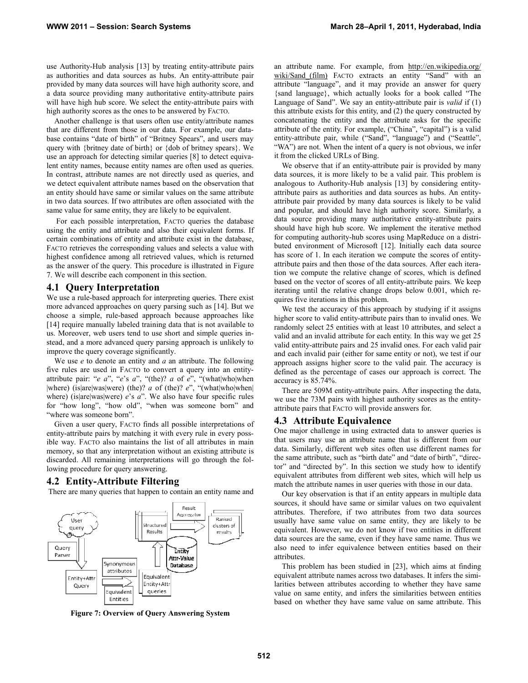use Authority-Hub analysis [13] by treating entity-attribute pairs as authorities and data sources as hubs. An entity-attribute pair provided by many data sources will have high authority score, and a data source providing many authoritative entity-attribute pairs will have high hub score. We select the entity-attribute pairs with high authority scores as the ones to be answered by FACTO.

Another challenge is that users often use entity/attribute names that are different from those in our data. For example, our database contains "date of birth" of "Britney Spears", and users may base contains "date of birth" of "Britney Spears", and users may query with {britney date of birth} or {dob of britney spears}. We use an approach for detecting similar queries [8] [8] to detect equivalent entity names, because entity names are often used as queries. In contrast, attribute names are not directly used as queries, and we detect equivalent attribute names based on the observation that an entity should have same or similar values on the same attribute in two data sources. If two attributes are often associated with the same value for same entity, they are likely to be equivalent.

me value for same entity, they are likely to be equivalent.<br>For each possible interpretation, FACTO queries the database using the entity and attribute and also their equivalent forms. If certain combinations of entity and attribute exist in the database, FACTO retrieves the corresponding values and selects a value with highest confidence among all retrieved values, which is returned as the answer of the query. This procedure is illustrated in Figure 7. We will describe each component in this section.

### **4.1 Query Interpretation**

7. We will describe each component in this section.<br>**4.1 Query Interpretation**<br>We use a rule-based approach for interpreting queries. There exist more advanced approaches on query parsing such as [14]. But we choose a simple, rule-based approach because approaches like [14] require manually labeled training data that is not available to us. Moreover, web users tend to use short and simple queries instead, and a more advanced query parsing approach is unlikely to improve the query coverage significantly.

We use *e* to denote an entity and *a* an attribute. The following five rules are used in FACTO to convert a query into an entity into an entity attribute pair: "*e a*", "*e*'s *a*", "(the)? *a* of *e*", "(what|who|when |where) (is|are|was|were) (the)? *a* of (the)? *e*", "(what|who|when| where) (is  $\arccos \arccos \arccos'$  *e*'s *a*". We also have four specific rules for "how long", "how old", "when was someone born" and "where was someone born".

Given a user query, FACTO finds all possible interpretations of entity-attribute pairs by matching it with every rule in every possible way. FACTO also maintains the list of all attributes in main memory, so that any interpretation without an existing attribute is discarded. All remaining interpretations will go through the following procedure for query answering.

### **4.2 Entity-Attribute Filtering**

There are many queries that happen to contain an entity name and



**Figure 7: Overview of Query Answering System System** 

an attribute name. For example, from http://en.wikipedia.org/ wiki/Sand (film) FACTO extracts an entity "Sand" with an wiki/Sand (film) FACTO extracts an entity "Sand" with an attribute "language", and it may provide an answer for query {sand language}, which actually looks for a book called "The {sand language}, which actually looks for a book called "The Language of Sand". We say an entity-attribute pair is *valid* if (1) this attribute exists for this entity, and  $(2)$  the query constructed by concatenating the entity and the attribute asks for the specific attribute of the entity. For example, ("C China", "capital") is a valid entity-attribute pair, while ("Sand", "language") and ("Seattle", "WA") are not. When the intent of a query is not obvious, we infer it from the clicked URLs of Bing.

We observe that if an entity-attribute pair is provided by many data sources, it is more likely to be a valid pair. This problem is analogous to Authority-Hub analysis [13] by considering entityattribute pairs as authorities and data sources as hubs. An entityattribute pair provided by many data sources is likely to be valid and popular, and should have high authority score. Similarly, a data source providing many authoritative entity-attribute pairs should have high hub score. We implement the iterative method for computing authority-hub scores using MapReduce on a distributed environment of Microsoft [12]. . Initially each data source has score of 1. In each iteration we compute the scores of entityattribute pairs and then those of the data sources. After each iteration we compute the relative change of scores, which is defined based on the vector of scores of all entity-attribute pairs. We keep iterating until the relative change drops below 0.001, which requires five iterations in this problem.

We test the accuracy of this approach by studying if it assigns higher score to valid entity-attribute pairs than to invalid ones. We randomly select 25 entities with at least 10 attributes, and select a valid and an invalid attribute for each entity. In this way we get 25 valid and an invalid attribute for each entity. In this way we get 25 valid entity-attribute pairs and 25 invalid ones. For each valid pair and each invalid pair (either for same entity or not), we test if our approach assigns higher score to the valid pair. The accuracy is defined as the percentage of cases our approach is correct. The accuracy is 85.74%.

There are 509M entity-attribute pairs. After inspecting the data, defined as the percentage of cases our approach is correct. The accuracy is 85.74%.<br>There are 509M entity-attribute pairs. After inspecting the data, we use the 73M pairs with highest authority scores as the entityattribute pairs that FACTO will provide answers for.

### **4.3 Attribute Equivalence**

attribute pairs that FACTO will provide answers for.<br>**4.3 Attribute Equivalence**<br>One major challenge in using extracted data to answer queries is that users may use an attribute name that is different from our data. Similarly, different web sites often use different names for the same attribute, such as "birth date" and "date of birth", "dire tor" and "directed by". In this section we study how to identify equivalent attributes from different web sites, which will help us match the attribute names in user queries with those in our data. that users may use an attribute name that is different from our data. Similarly, different web sites often use different names for the same attribute, such as "birth date" and "date of birth", "direc-

Our key observation is that if an entity appears in multiple data sources, it should have same or similar values on two equivalent attributes. Therefore, if two attributes from two data sources usually have same value on same entity, they are likely to be equivalent. However, we do not know if two entities in different data sources are the same, even if they have same name. Thus we also need to infer equivalence between entities based on their attributes. d "directed by". In this section we study how to identify<br>lent attributes from different web sites, which will help us<br>the attribute names in user queries with those in our data.<br>key observation is that if an entity appear

This problem has been studied in [23], which aims at finding equivalent attribute names across two databases. It infers the similarities between attributes according to whether they have same value on same entity, and infers the similarities between entities larities between attributes according to whether they have same value on same entity, and infers the similarities between entities based on whether they have same value on same attribute. This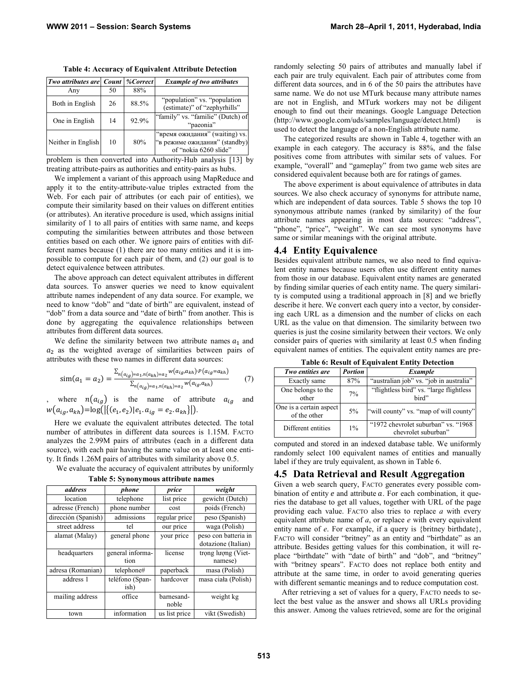|  |  | Table 4: Accuracy of Equivalent Attribute Detection |
|--|--|-----------------------------------------------------|
|--|--|-----------------------------------------------------|

| Two attributes are Count \%Correct |    |       | <b>Example of two attributes</b>                                                         |
|------------------------------------|----|-------|------------------------------------------------------------------------------------------|
| Any                                | 50 | 88%   |                                                                                          |
| Both in English                    | 26 | 88.5% | "population" vs. "population"<br>(estimate)" of "zephyrhills"                            |
| One in English                     | 14 | 92.9% | "family" vs. "familie" (Dutch) of<br>"paeonia"                                           |
| Neither in English                 | 10 | 80%   | "время ожидания" (waiting) vs.<br>"в режиме ожидания" (standby)<br>of "nokia 6260 slide" |

problem is then converted into Authority-Hub analysis [13] by treating attribute-pairs as authorities and entity-pairs as hubs.

We implement a variant of this approach using MapReduce and apply it to the entity-attribute-value triples extracted from the Web. For each pair of attributes (or each pair of entities), we compute their similarity based on their values on different entities (or attributes). An iterative procedure is used, which assigns initial similarity of 1 to all pairs of entities with same name, and keeps computing the similarities between attributes and those between entities based on each other. We ignore pairs of entities with different names because (1) there are too many entities and it is impossible to compute for each pair of them, and (2) our goal is to detect equivalence between attributes.

The above approach can detect equivalent attributes in different data sources. To answer queries we need to know equivalent attribute names independent of any data source. For example, we need to know "dob" and "date of birth" are equivalent, instead of "dob" from a data source and "date of birth" from another. This is done by aggregating the equivalence relationships between attributes from different data sources.

We define the similarity between two attribute names  $a_1$  and  $a<sub>2</sub>$  as the weighted average of similarities between pairs of attributes with these two names in different data sources:

$$
\text{sim}(a_1 = a_2) = \frac{\sum_{n(a_{ig})=a_1, n(a_{kh})=a_2} w(a_{ig}, a_{kh}) \cdot P(a_{ig} = a_{kh})}{\sum_{n(a_{ig})=a_1, n(a_{kh})=a_2} w(a_{ig}, a_{kh})} \tag{7}
$$

, where  $n(a_{ig})$  is the name of attribute  $a_{ig}$  and  $w(a_{ig}, a_{kh}) = \log(\left|\{(e_1, e_2) | e_1, a_{ig} = e_2, a_{kh}\}\right|\right).$ 

Here we evaluate the equivalent attributes detected. The total number of attributes in different data sources is 1.15M. FACTO analyzes the 2.99M pairs of attributes (each in a different data source), with each pair having the same value on at least one entity. It finds 1.26M pairs of attributes with similarity above 0.5.

We evaluate the accuracy of equivalent attributes by uniformly

**Table 5: Synonymous attribute names** 

| address             | phone                    | price               | weight                                      |
|---------------------|--------------------------|---------------------|---------------------------------------------|
| location            | telephone                | list price          | gewicht (Dutch)                             |
| adresse (French)    | phone number             | cost                | poids (French)                              |
| dirección (Spanish) | admissions               | regular price       | peso (Spanish)                              |
| street address      | tel                      | our price           | waga (Polish)                               |
| alamat (Malay)      | general phone            | your price          | peso con batteria in<br>dotazione (Italian) |
| headquarters        | general informa-<br>tion | license             | trong luong (Viet-<br>namese)               |
| adresa (Romanian)   | telephone#               | paperback           | masa (Polish)                               |
| address 1           | teléfono (Span-<br>ish)  | hardcover           | masa ciała (Polish)                         |
| mailing address     | office                   | barnesand-<br>noble | weight kg                                   |
| town                | information              | us list price       | vikt (Swedish)                              |

randomly selecting 50 pairs of attributes and manually label if each pair are truly equivalent. Each pair of attributes come from different data sources, and in 6 of the 50 pairs the attributes have same name. We do not use MTurk because many attribute names are not in English, and MTurk workers may not be diligent enough to find out their meanings. Google Language Detection (http://www.google.com/uds/samples/language/detect.html) used to detect the language of a non-English attribute name.

 The categorized results are shown in Table 4, together with an example in each category. The accuracy is 88%, and the false positives come from attributes with similar sets of values. For example, "overall" and "gameplay" from two game web sites are considered equivalent because both are for ratings of games.

 The above experiment is about equivalence of attributes in data sources. We also check accuracy of synonyms for attribute name, which are independent of data sources. Table 5 shows the top 10 synonymous attribute names (ranked by similarity) of the four attribute names appearing in most data sources: "address", "phone", "price", "weight". We can see most synonyms have same or similar meanings with the original attribute.

# **4.4 Entity Equivalence**

Besides equivalent attribute names, we also need to find equivalent entity names because users often use different entity names from those in our database. Equivalent entity names are generated by finding similar queries of each entity name. The query similarity is computed using a traditional approach in [8] and we briefly describe it here. We convert each query into a vector, by considering each URL as a dimension and the number of clicks on each URL as the value on that dimension. The similarity between two queries is just the cosine similarity between their vectors. We only consider pairs of queries with similarity at least 0.5 when finding equivalent names of entities. The equivalent entity names are pre-

**Table 6: Result of Equivalent Entity Detection** 

| Two entities are                        | <b>Portion</b> | <b>Example</b>                                              |
|-----------------------------------------|----------------|-------------------------------------------------------------|
| Exactly same                            | 87%            | "australian job" vs. "job in australia"                     |
| One belongs to the<br>other             | 7%             | "flightless bird" vs. "large flightless"<br>bird"           |
| One is a certain aspect<br>of the other | 5%             | "will county" vs. "map of will county"                      |
| Different entities                      | $1\%$          | "1972 chevrolet suburban" vs. "1968"<br>chevrolet suburban" |

computed and stored in an indexed database table. We uniformly randomly select 100 equivalent names of entities and manually label if they are truly equivalent, as shown in Table 6.

# **4.5 Data Retrieval and Result Aggregation**

Given a web search query, FACTO generates every possible combination of entity  $e$  and attribute  $a$ . For each combination, it queries the database to get all values, together with URL of the page providing each value. FACTO also tries to replace *a* with every equivalent attribute name of *a*, or replace *e* with every equivalent entity name of *e*. For example, if a query is {britney birthdate}, FACTO will consider "britney" as an entity and "birthdate" as an attribute. Besides getting values for this combination, it will replace "birthdate" with "date of birth" and "dob", and "britney" with "britney spears". FACTO does not replace both entity and attribute at the same time, in order to avoid generating queries with different semantic meanings and to reduce computation cost.

After retrieving a set of values for a query, FACTO needs to select the best value as the answer and shows all URLs providing this answer. Among the values retrieved, some are for the original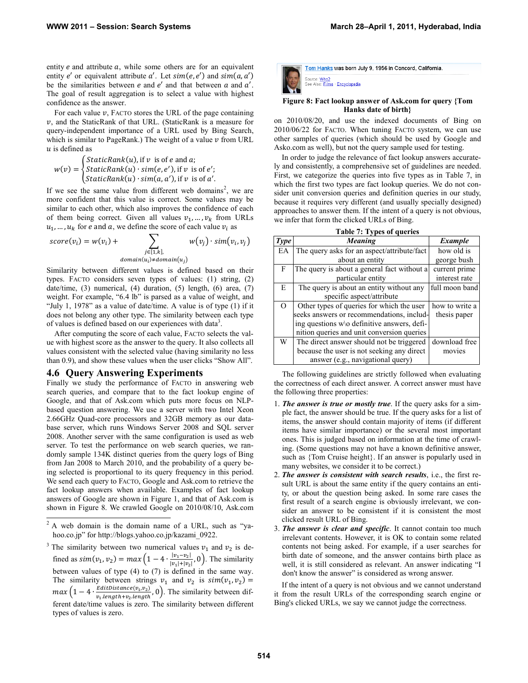entity  $e$  and attribute  $a$ , while some others are for an equivalent entity e' or equivalent attribute  $a'$ . Let  $sim(e, e')$  and  $sim(a, a')$ be the similarities between  $e$  and  $e'$  and that between  $a$  and  $a'$ . The goal of result aggregation is to select a value with highest confidence as the answer.

For each value  $v$ , FACTO stores the URL of the page containing  $v$ , and the StaticRank of that URL. (StaticRank is a measure for query-independent importance of a URL used by Bing Search, which is similar to PageRank.) The weight of a value  $v$  from URL  $u$  is defined as

$$
w(v) = \begin{cases} StaticRank(u), \text{ if } v \text{ is of } e \text{ and } a; \\ StaticRank(u) \cdot sim(e, e'), \text{ if } v \text{ is of } e'; \\ StaticRank(u) \cdot sim(a, a'), \text{ if } v \text{ is of } a'. \end{cases}
$$

If we see the same value from different web domains<sup>2</sup>, we are more confident that this value is correct. Some values may be similar to each other, which also improves the confidence of each of them being correct. Given all values  $v_1, ..., v_k$  from URLs  $u_1, \ldots, u_k$  for e and a, we define the score of each value  $v_i$  as

$$
score(v_i) = w(v_i) + \sum_{\substack{j \in [1,k],\\ domain(u_i) \neq domain(u_j)}} w(v_j) \cdot sim(v_i, v_j)
$$

Similarity between different values is defined based on their types. FACTO considers seven types of values: (1) string, (2) date/time, (3) numerical, (4) duration, (5) length, (6) area, (7) weight. For example, "6.4 lb" is parsed as a value of weight, and "July 1, 1978" as a value of date/time. A value is of type (1) if it does not belong any other type. The similarity between each type of values is defined based on our experiences with data<sup>3</sup>.

After computing the score of each value, FACTO selects the value with highest score as the answer to the query. It also collects all values consistent with the selected value (having similarity no less than 0.9), and show these values when the user clicks "Show All".

### **4.6 Query Answering Experiments**

1

Finally we study the performance of FACTO in answering web search queries, and compare that to the fact lookup engine of Google, and that of Ask.com which puts more focus on NLPbased question answering. We use a server with two Intel Xeon 2.66GHz Quad-core processors and 32GB memory as our database server, which runs Windows Server 2008 and SQL server 2008. Another server with the same configuration is used as web server. To test the performance on web search queries, we randomly sample 134K distinct queries from the query logs of Bing from Jan 2008 to March 2010, and the probability of a query being selected is proportional to its query frequency in this period. We send each query to FACTO, Google and Ask.com to retrieve the fact lookup answers when available. Examples of fact lookup answers of Google are shown in Figure 1, and that of Ask.com is shown in Figure 8. We crawled Google on 2010/08/10, Ask.com

<sup>3</sup> The similarity between two numerical values  $v_1$  and  $v_2$  is defined as  $sim(v_1, v_2) = max\left(1 - 4 \cdot \frac{|v_1 - v_2|}{|v_1| + |v_2|}\right)$  $\frac{|v_1 - v_2|}{|v_1| + |v_2|}$ , 0). The similarity between values of type (4) to (7) is defined in the same way. The similarity between strings  $v_1$  and  $v_2$  is  $sim(v_1, v_2)$  =  $max(1 - 4 \cdot \frac{Editoristance(v_1, v_2)}{v_1.length + v_2.length}, 0)$ . The similarity between different date/time values is zero. The similarity between different types of values is zero.



Tom Hanks was born July 9, 1956 in Concord, California.

o: Films · Encyclopedia

### **Figure 8: Fact lookup answer of Ask.com for query {Tom Hanks date of birth}**

on 2010/08/20, and use the indexed documents of Bing on 2010/06/22 for FACTO. When tuning FACTO system, we can use other samples of queries (which should be used by Google and Asko.com as well), but not the query sample used for testing.

In order to judge the relevance of fact lookup answers accurately and consistently, a comprehensive set of guidelines are needed. First, we categorize the queries into five types as in Table 7, in which the first two types are fact lookup queries. We do not consider unit conversion queries and definition queries in our study, because it requires very different (and usually specially designed) approaches to answer them. If the intent of a query is not obvious, we infer that form the clicked URLs of Bing.

| <b>Type</b> | <b>Meaning</b>                              | Example        |
|-------------|---------------------------------------------|----------------|
| EA          | The query asks for an aspect/attribute/fact | how old is     |
|             | about an entity                             | george bush    |
| F           | The query is about a general fact without a | current prime  |
|             | particular entity                           | interest rate  |
| E           | The query is about an entity without any    | full moon band |
|             | specific aspect/attribute                   |                |
| $\Omega$    | Other types of queries for which the user   | how to write a |
|             | seeks answers or recommendations, includ-   | thesis paper   |
|             | ing questions w/o definitive answers, defi- |                |
|             | nition queries and unit conversion queries  |                |
| W           | The direct answer should not be triggered   | download free  |
|             | because the user is not seeking any direct  | movies         |
|             | answer (e.g., navigational query)           |                |

**Table 7: Types of queries** 

The following guidelines are strictly followed when evaluating the correctness of each direct answer. A correct answer must have the following three properties:

- 1. *The answer is true or mostly true*. If the query asks for a simple fact, the answer should be true. If the query asks for a list of items, the answer should contain majority of items (if different items have similar importance) or the several most important ones. This is judged based on information at the time of crawling. (Some questions may not have a known definitive answer, such as {Tom Cruise height}. If an answer is popularly used in many websites, we consider it to be correct.)
- 2. *The answer is consistent with search results*, i.e., the first result URL is about the same entity if the query contains an entity, or about the question being asked. In some rare cases the first result of a search engine is obviously irrelevant, we consider an answer to be consistent if it is consistent the most clicked result URL of Bing.
- 3. *The answer is clear and specific*. It cannot contain too much irrelevant contents. However, it is OK to contain some related contents not being asked. For example, if a user searches for birth date of someone, and the answer contains birth place as well, it is still considered as relevant. An answer indicating "I don't know the answer" is considered as wrong answer.

If the intent of a query is not obvious and we cannot understand it from the result URLs of the corresponding search engine or Bing's clicked URLs, we say we cannot judge the correctness.

 $2^2$  A web domain is the domain name of a URL, such as "yahoo.co.jp" for http://blogs.yahoo.co.jp/kazami\_0922.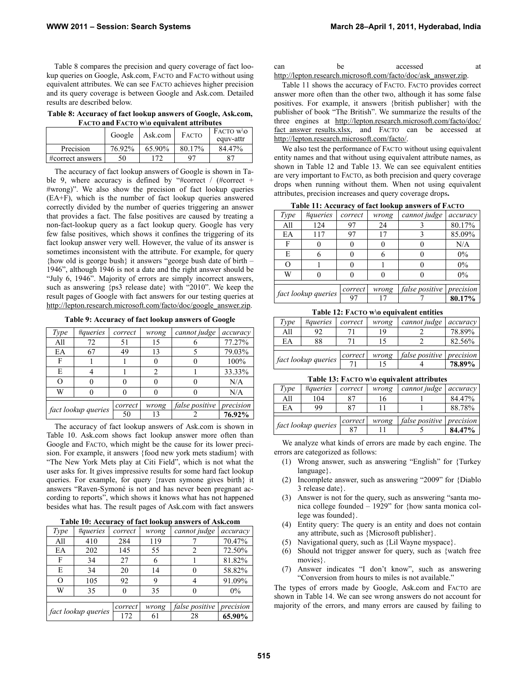Table 8 compares the precision and query coverage of fact lookup queries on Google, Ask.com, FACTO and FACTO without using equivalent attributes. We can see FACTO achieves higher precision and its query coverage is between Google and Ask.com. Detailed results are described below.

**Table 8: Accuracy of fact lookup answers of Google, Ask.com, FACTO and FACTO w\o equivalent attributes** 

|                  | Google | Ask.com   | <b>FACTO</b> | $\Gamma$ ACTO w $\circ$<br>equy-attr |
|------------------|--------|-----------|--------------|--------------------------------------|
| Precision        | 76.92% | $65.90\%$ | 80 17%       | 84.47%                               |
| #correct answers | 50     | 172       | 97           |                                      |

The accuracy of fact lookup answers of Google is shown in Table 9, where accuracy is defined by "#correct / (#correct + #wrong)". We also show the precision of fact lookup queries (EA+F), which is the number of fact lookup queries answered correctly divided by the number of queries triggering an answer that provides a fact. The false positives are caused by treating a non-fact-lookup query as a fact lookup query. Google has very few false positives, which shows it confines the triggering of its fact lookup answer very well. However, the value of its answer is sometimes inconsistent with the attribute. For example, for query {how old is george bush} it answers "george bush date of birth – 1946", although 1946 is not a date and the right answer should be "July 6, 1946". Majority of errors are simply incorrect answers, such as answering {ps3 release date} with "2010". We keep the result pages of Google with fact answers for our testing queries at http://lepton.research.microsoft.com/facto/doc/google\_answer.zip.

**Table 9: Accuracy of fact lookup answers of Google** 

| <i>Type</i>         | #queries | correct | wrong | cannot judge   | accuracy  |
|---------------------|----------|---------|-------|----------------|-----------|
| All                 | 72       | 51      | 15    |                | 77.27%    |
| EA                  | 67       | 49      | 13    |                | 79.03%    |
| F                   |          |         |       |                | 100%      |
| E                   |          |         |       |                | 33.33%    |
| ∩                   |          |         |       |                | N/A       |
| W                   |          |         |       |                | N/A       |
| fact lookup queries |          | correct | wrong | false positive | precision |
|                     |          | 50      | 13    |                | 76.92%    |

The accuracy of fact lookup answers of Ask.com is shown in Table 10. Ask.com shows fact lookup answer more often than Google and FACTO, which might be the cause for its lower precision. For example, it answers {food new york mets stadium} with "The New York Mets play at Citi Field", which is not what the user asks for. It gives impressive results for some hard fact lookup queries. For example, for query {raven symone gives birth} it answers "Raven-Symoné is not and has never been pregnant according to reports", which shows it knows what has not happened besides what has. The result pages of Ask.com with fact answers

|  | Table 10: Accuracy of fact lookup answers of Ask.com |
|--|------------------------------------------------------|
|  |                                                      |

| Type                | #queries | correct | wrong | cannot judge   | accuracy  |  |
|---------------------|----------|---------|-------|----------------|-----------|--|
| All                 | 410      | 284     | 119   |                | 70.47%    |  |
| EA                  | 202      | 145     | 55    |                | 72.50%    |  |
| F                   | 34       | 27      | 6     |                | 81.82%    |  |
| E                   | 34       | 20      | 14    |                | 58.82%    |  |
| O                   | 105      | 92      | 9     |                | 91.09%    |  |
| W                   | 35       | 0       | 35    |                | $0\%$     |  |
|                     |          |         |       |                |           |  |
| fact lookup queries |          | correct | wrong | false positive | precision |  |
|                     |          | 172     | 61    | 28             | 65.90%    |  |

| can | be | accessed                                                       |  |
|-----|----|----------------------------------------------------------------|--|
|     |    | http://lepton.research.microsoft.com/facto/doc/ask answer.zip. |  |

Table 11 shows the accuracy of FACTO. FACTO provides correct answer more often than the other two, although it has some false positives. For example, it answers {british publisher} with the publisher of book "The British". We summarize the results of the three engines at http://lepton.research.microsoft.com/facto/doc/ fact answer results.xlsx, and FACTO can be accessed at http://lepton.research.microsoft.com/facto/.

We also test the performance of FACTO without using equivalent entity names and that without using equivalent attribute names, as shown in Table 12 and Table 13. We can see equivalent entities are very important to FACTO, as both precision and query coverage drops when running without them. When not using equivalent attributes, precision increases and query coverage drops**.** 

**Table 11: Accuracy of fact lookup answers of FACTO**

| <b>Type</b>         | #queries | correct | wrong | cannot judge   | accuracy  |  |
|---------------------|----------|---------|-------|----------------|-----------|--|
| All                 | 124      | 97      | 24    |                | 80.17%    |  |
| EA                  | 117      | 97      |       |                | 85.09%    |  |
| F                   |          |         |       |                | N/A       |  |
| E                   | 6        |         |       |                | $0\%$     |  |
| Ω                   |          |         |       |                | $0\%$     |  |
| W                   |          |         |       |                | $0\%$     |  |
|                     |          |         |       |                |           |  |
| fact lookup queries |          | correct | wrong | false positive | precision |  |
|                     |          | 97      |       |                | 80.17%    |  |

**Table 12: FACTO w\o equivalent entities** 

| Type                | #queries | correct | wrong | cannot judge               | accuracy |
|---------------------|----------|---------|-------|----------------------------|----------|
| A11                 | 92       |         | 19    |                            | 78.89%   |
| ЕA                  | 88       |         | 15    |                            | 82.56%   |
|                     |          |         |       |                            |          |
|                     |          | correct | wrong | false positive   precision |          |
| fact lookup queries |          |         |       |                            | 78.89%   |

#### **Table 13: FACTO w\o equivalent attributes**

| Type | #queries            | correct | wrong | cannot judge               | accuracy |
|------|---------------------|---------|-------|----------------------------|----------|
| A11  | 104                 | 87      | 16    |                            | 84.47%   |
| ЕA   | 99                  | 87      |       |                            | 88.78%   |
|      |                     | correct | wrong | false positive   precision |          |
|      | fact lookup queries | 87      |       |                            | 84.47%   |

We analyze what kinds of errors are made by each engine. The errors are categorized as follows:

- (1) Wrong answer, such as answering "English" for {Turkey language}.
- (2) Incomplete answer, such as answering "2009" for {Diablo 3 release date}.
- (3) Answer is not for the query, such as answering "santa monica college founded – 1929" for {how santa monica college was founded}.
- (4) Entity query: The query is an entity and does not contain any attribute, such as {Microsoft publisher}.
- (5) Navigational query, such as {Lil Wayne myspace}.
- (6) Should not trigger answer for query, such as {watch free movies}.
- (7) Answer indicates "I don't know", such as answering "Conversion from hours to miles is not available."

The types of errors made by Google, Ask.com and FACTO are shown in Table 14. We can see wrong answers do not account for majority of the errors, and many errors are caused by failing to